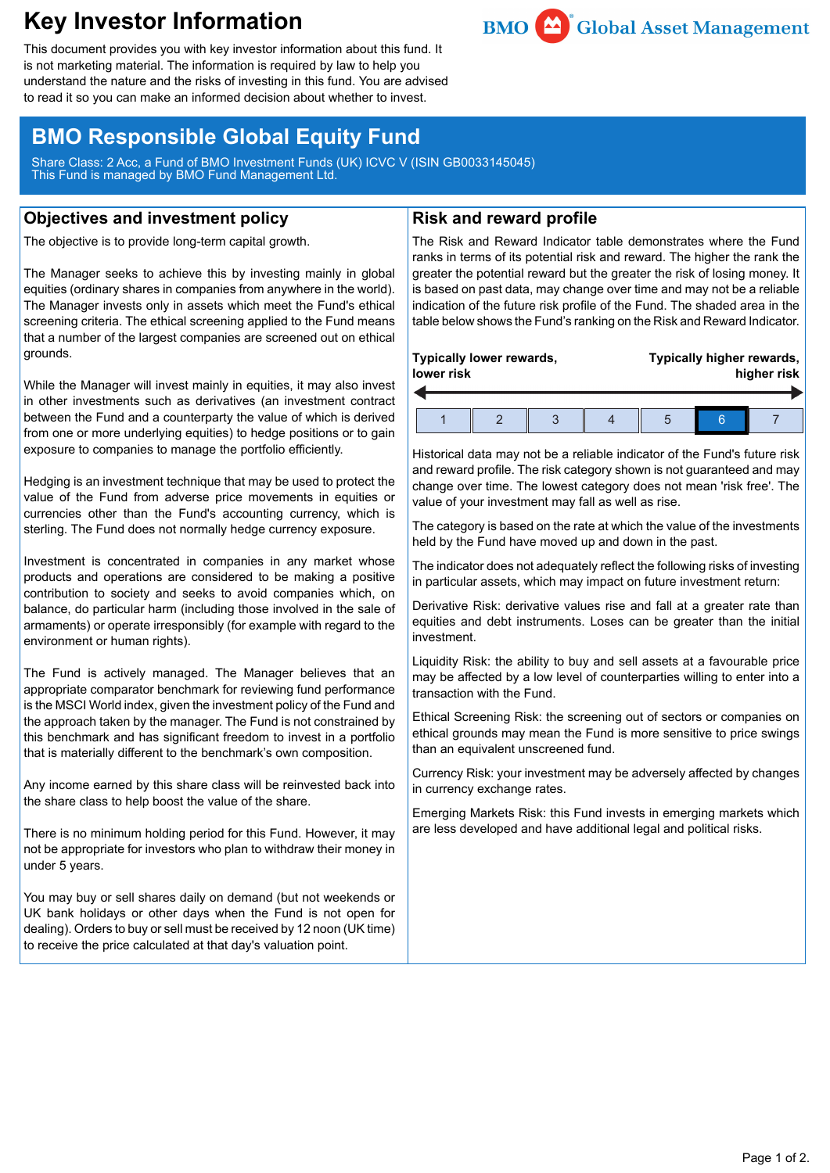# **Key Investor Information**



This document provides you with key investor information about this fund. It is not marketing material. The information is required by law to help you understand the nature and the risks of investing in this fund. You are advised to read it so you can make an informed decision about whether to invest.

## **BMO Responsible Global Equity Fund**

Share Class: 2 Acc, a Fund of BMO Investment Funds (UK) ICVC V (ISIN GB0033145045) This Fund is managed by BMO Fund Management Ltd.

### **Objectives and investment policy**

The objective is to provide long-term capital growth.

The Manager seeks to achieve this by investing mainly in global equities (ordinary shares in companies from anywhere in the world). The Manager invests only in assets which meet the Fund's ethical screening criteria. The ethical screening applied to the Fund means that a number of the largest companies are screened out on ethical grounds.

While the Manager will invest mainly in equities, it may also invest in other investments such as derivatives (an investment contract between the Fund and a counterparty the value of which is derived from one or more underlying equities) to hedge positions or to gain exposure to companies to manage the portfolio efficiently.

Hedging is an investment technique that may be used to protect the value of the Fund from adverse price movements in equities or currencies other than the Fund's accounting currency, which is sterling. The Fund does not normally hedge currency exposure.

Investment is concentrated in companies in any market whose products and operations are considered to be making a positive contribution to society and seeks to avoid companies which, on balance, do particular harm (including those involved in the sale of armaments) or operate irresponsibly (for example with regard to the environment or human rights).

The Fund is actively managed. The Manager believes that an appropriate comparator benchmark for reviewing fund performance is the MSCI World index, given the investment policy of the Fund and the approach taken by the manager. The Fund is not constrained by this benchmark and has significant freedom to invest in a portfolio that is materially different to the benchmark's own composition.

Any income earned by this share class will be reinvested back into the share class to help boost the value of the share.

There is no minimum holding period for this Fund. However, it may not be appropriate for investors who plan to withdraw their money in under 5 years.

You may buy or sell shares daily on demand (but not weekends or UK bank holidays or other days when the Fund is not open for dealing). Orders to buy or sell must be received by 12 noon (UK time) to receive the price calculated at that day's valuation point.

## **Risk and reward profile**

The Risk and Reward Indicator table demonstrates where the Fund ranks in terms of its potential risk and reward. The higher the rank the greater the potential reward but the greater the risk of losing money. It is based on past data, may change over time and may not be a reliable indication of the future risk profile of the Fund. The shaded area in the table below shows the Fund's ranking on the Risk and Reward Indicator.

| Typically lower rewards,<br>lower risk |  |  |  | Typically higher rewards,<br>higher risk |  |  |  |
|----------------------------------------|--|--|--|------------------------------------------|--|--|--|
|                                        |  |  |  |                                          |  |  |  |

Historical data may not be a reliable indicator of the Fund's future risk and reward profile. The risk category shown is not guaranteed and may change over time. The lowest category does not mean 'risk free'. The value of your investment may fall as well as rise.

The category is based on the rate at which the value of the investments held by the Fund have moved up and down in the past.

The indicator does not adequately reflect the following risks of investing in particular assets, which may impact on future investment return:

Derivative Risk: derivative values rise and fall at a greater rate than equities and debt instruments. Loses can be greater than the initial investment.

Liquidity Risk: the ability to buy and sell assets at a favourable price may be affected by a low level of counterparties willing to enter into a transaction with the Fund.

Ethical Screening Risk: the screening out of sectors or companies on ethical grounds may mean the Fund is more sensitive to price swings than an equivalent unscreened fund.

Currency Risk: your investment may be adversely affected by changes in currency exchange rates.

Emerging Markets Risk: this Fund invests in emerging markets which are less developed and have additional legal and political risks.